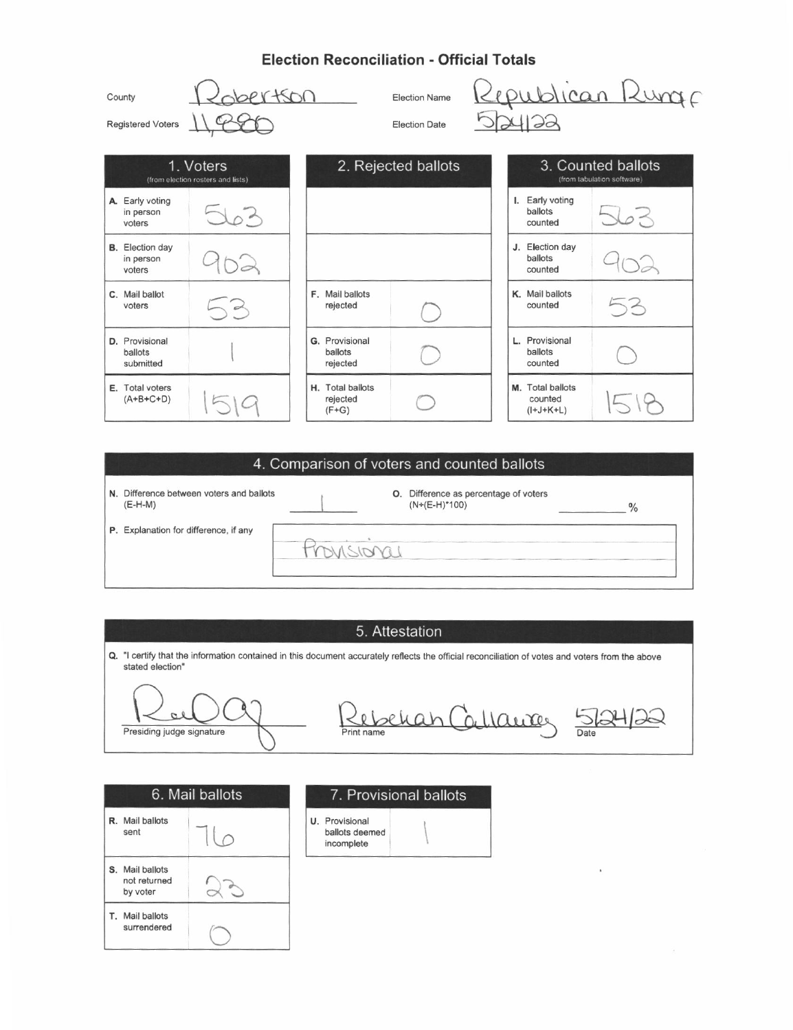## **Election Reconciliation - Official Totals**

| County<br>Registered Voters                    | $PY+SDO$                 |                                         | <b>Election Name</b><br><b>Election Date</b> |                                                  | Republican Runge |
|------------------------------------------------|--------------------------|-----------------------------------------|----------------------------------------------|--------------------------------------------------|------------------|
| 1. Voters<br>(from election rosters and lists) |                          | 2. Rejected ballots                     |                                              | 3. Counted ballots<br>(from tabulation software) |                  |
| A. Early voting<br>in person<br>voters         | $\overline{\lambda}_{0}$ |                                         |                                              | I. Early voting<br>ballots<br>counted            |                  |
| <b>B.</b> Election day<br>in person<br>voters  |                          |                                         |                                              | J. Election day<br>ballots<br>counted            |                  |
| C. Mail ballot<br>voters                       | $\sim$                   | F. Mail ballots<br>rejected             |                                              | K. Mail ballots<br>counted                       | 53               |
| D. Provisional<br>ballots<br>submitted         |                          | G. Provisional<br>ballots<br>rejected   |                                              | L. Provisional<br><b>ballots</b><br>counted      |                  |
| E. Total voters<br>$(A+B+C+D)$                 |                          | H. Total ballots<br>rejected<br>$(F+G)$ |                                              | M. Total ballots<br>counted<br>$(I+J+K+L)$       |                  |

#### 4. Comparison of voters and counted ballots

N. Difference between voters and ballots  $(E-H-M)$ 

O. Difference as percentage of voters  $(N+(E-H)^*100)$ 

P. Explanation for difference, if any

### 5. Attestation

Q. "I certify that the information contained in this document accurately reflects the official reconciliation of votes and voters from the above stated election"

 $\alpha$ Presiding judge signature

Print name han Callaires 5 Print name

 $\frac{0}{6}$ 

| 6. Mail ballots |                                          |  |
|-----------------|------------------------------------------|--|
|                 | R. Mail ballots<br>sent                  |  |
| s               | Mail ballots<br>not returned<br>by voter |  |
|                 | T. Mail ballots<br>surrendered           |  |

#### 7. Provisional ballots

U. Provisional ballots deemed  $incomplete$